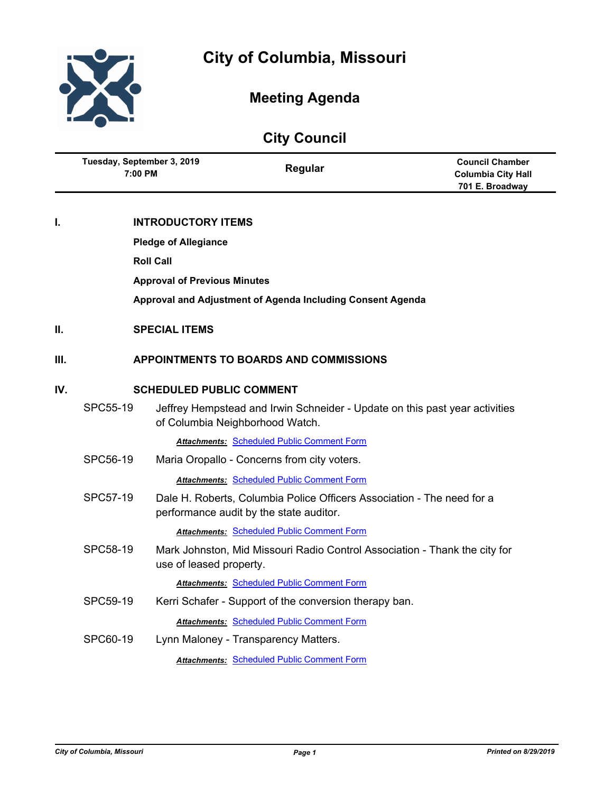



# **Meeting Agenda**

| <b>City Council</b> |                                       |                                     |                                                                                                                   |                                                                        |  |
|---------------------|---------------------------------------|-------------------------------------|-------------------------------------------------------------------------------------------------------------------|------------------------------------------------------------------------|--|
|                     | Tuesday, September 3, 2019<br>7:00 PM |                                     | Regular                                                                                                           | <b>Council Chamber</b><br><b>Columbia City Hall</b><br>701 E. Broadway |  |
| I.                  |                                       | <b>INTRODUCTORY ITEMS</b>           |                                                                                                                   |                                                                        |  |
|                     | <b>Pledge of Allegiance</b>           |                                     |                                                                                                                   |                                                                        |  |
|                     |                                       | <b>Roll Call</b>                    |                                                                                                                   |                                                                        |  |
|                     |                                       | <b>Approval of Previous Minutes</b> |                                                                                                                   |                                                                        |  |
|                     |                                       |                                     | Approval and Adjustment of Agenda Including Consent Agenda                                                        |                                                                        |  |
| II.                 | <b>SPECIAL ITEMS</b>                  |                                     |                                                                                                                   |                                                                        |  |
| III.                |                                       |                                     | <b>APPOINTMENTS TO BOARDS AND COMMISSIONS</b>                                                                     |                                                                        |  |
| IV.                 | <b>SCHEDULED PUBLIC COMMENT</b>       |                                     |                                                                                                                   |                                                                        |  |
|                     | SPC55-19                              |                                     | Jeffrey Hempstead and Irwin Schneider - Update on this past year activities<br>of Columbia Neighborhood Watch.    |                                                                        |  |
|                     |                                       |                                     | <b>Attachments: Scheduled Public Comment Form</b>                                                                 |                                                                        |  |
|                     | SPC56-19                              |                                     | Maria Oropallo - Concerns from city voters.                                                                       |                                                                        |  |
|                     |                                       |                                     | <b>Attachments: Scheduled Public Comment Form</b>                                                                 |                                                                        |  |
|                     | SPC57-19                              |                                     | Dale H. Roberts, Columbia Police Officers Association - The need for a<br>performance audit by the state auditor. |                                                                        |  |
|                     |                                       |                                     | <b>Attachments: Scheduled Public Comment Form</b>                                                                 |                                                                        |  |
|                     | SPC58-19                              | use of leased property.             | Mark Johnston, Mid Missouri Radio Control Association - Thank the city for                                        |                                                                        |  |
|                     |                                       |                                     | <b>Attachments: Scheduled Public Comment Form</b>                                                                 |                                                                        |  |
|                     | SPC59-19                              |                                     | Kerri Schafer - Support of the conversion therapy ban.                                                            |                                                                        |  |
|                     |                                       |                                     | <b>Attachments: Scheduled Public Comment Form</b>                                                                 |                                                                        |  |
|                     | SPC60-19                              |                                     | Lynn Maloney - Transparency Matters.                                                                              |                                                                        |  |
|                     |                                       |                                     | <b>Attachments: Scheduled Public Comment Form</b>                                                                 |                                                                        |  |
|                     |                                       |                                     |                                                                                                                   |                                                                        |  |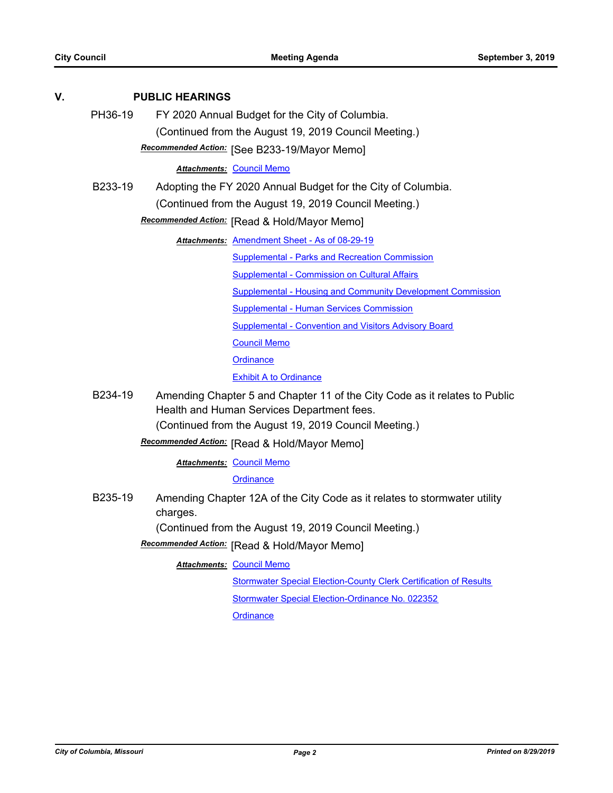| V.                                                    | <b>PUBLIC HEARINGS</b>                       |                                                                                       |  |  |  |
|-------------------------------------------------------|----------------------------------------------|---------------------------------------------------------------------------------------|--|--|--|
|                                                       | PH36-19                                      | FY 2020 Annual Budget for the City of Columbia.                                       |  |  |  |
|                                                       |                                              | (Continued from the August 19, 2019 Council Meeting.)                                 |  |  |  |
|                                                       |                                              | Recommended Action: [See B233-19/Mayor Memo]                                          |  |  |  |
|                                                       |                                              | <b>Attachments: Council Memo</b>                                                      |  |  |  |
|                                                       | B233-19                                      | Adopting the FY 2020 Annual Budget for the City of Columbia.                          |  |  |  |
|                                                       |                                              | (Continued from the August 19, 2019 Council Meeting.)                                 |  |  |  |
|                                                       | Recommended Action: [Read & Hold/Mayor Memo] |                                                                                       |  |  |  |
|                                                       |                                              | Attachments: Amendment Sheet - As of 08-29-19                                         |  |  |  |
|                                                       |                                              | Supplemental - Parks and Recreation Commission                                        |  |  |  |
|                                                       |                                              | <b>Supplemental - Commission on Cultural Affairs</b>                                  |  |  |  |
|                                                       |                                              | <b>Supplemental - Housing and Community Development Commission</b>                    |  |  |  |
|                                                       |                                              | <b>Supplemental - Human Services Commission</b>                                       |  |  |  |
|                                                       |                                              | <b>Supplemental - Convention and Visitors Advisory Board</b>                          |  |  |  |
|                                                       |                                              | <b>Council Memo</b>                                                                   |  |  |  |
|                                                       |                                              | <b>Ordinance</b>                                                                      |  |  |  |
|                                                       |                                              | <b>Exhibit A to Ordinance</b>                                                         |  |  |  |
| B234-19<br>Health and Human Services Department fees. |                                              | Amending Chapter 5 and Chapter 11 of the City Code as it relates to Public            |  |  |  |
|                                                       |                                              | (Continued from the August 19, 2019 Council Meeting.)                                 |  |  |  |
|                                                       |                                              | Recommended Action: [Read & Hold/Mayor Memo]                                          |  |  |  |
|                                                       |                                              | <b>Attachments: Council Memo</b>                                                      |  |  |  |
|                                                       |                                              | Ordinance                                                                             |  |  |  |
|                                                       | B235-19                                      | Amending Chapter 12A of the City Code as it relates to stormwater utility<br>charges. |  |  |  |
|                                                       |                                              | (Continued from the August 19, 2019 Council Meeting.)                                 |  |  |  |

**Recommended Action:** [Read & Hold/Mayor Memo]

**Attachments: [Council Memo](http://gocolumbiamo.legistar.com/gateway.aspx?M=F&ID=b9541e0f-8614-44e8-8c55-8eeab649599e.docx)** 

[Stormwater Special Election-County Clerk Certification of Results](http://gocolumbiamo.legistar.com/gateway.aspx?M=F&ID=501afa72-a89b-45fe-b16a-303fe22ecf49.pdf)

[Stormwater Special Election-Ordinance No. 022352](http://gocolumbiamo.legistar.com/gateway.aspx?M=F&ID=f3b1c3e4-eccc-41de-98a5-3cda7b26e4a6.pdf)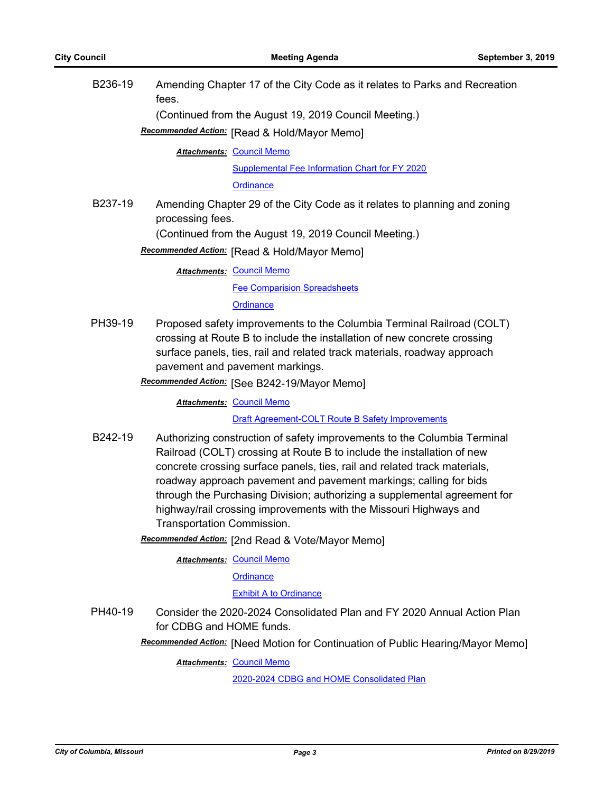| B236-19 | Amending Chapter 17 of the City Code as it relates to Parks and Recreation<br>fees.                                                                                                                                                                                                                                                                                                                                                                                                                                                      |
|---------|------------------------------------------------------------------------------------------------------------------------------------------------------------------------------------------------------------------------------------------------------------------------------------------------------------------------------------------------------------------------------------------------------------------------------------------------------------------------------------------------------------------------------------------|
|         | (Continued from the August 19, 2019 Council Meeting.)                                                                                                                                                                                                                                                                                                                                                                                                                                                                                    |
|         | Recommended Action: [Read & Hold/Mayor Memo]                                                                                                                                                                                                                                                                                                                                                                                                                                                                                             |
|         | Attachments: Council Memo                                                                                                                                                                                                                                                                                                                                                                                                                                                                                                                |
|         | <b>Supplemental Fee Information Chart for FY 2020</b>                                                                                                                                                                                                                                                                                                                                                                                                                                                                                    |
|         | <b>Ordinance</b>                                                                                                                                                                                                                                                                                                                                                                                                                                                                                                                         |
| B237-19 | Amending Chapter 29 of the City Code as it relates to planning and zoning<br>processing fees.<br>(Continued from the August 19, 2019 Council Meeting.)                                                                                                                                                                                                                                                                                                                                                                                   |
|         | Recommended Action: [Read & Hold/Mayor Memo]                                                                                                                                                                                                                                                                                                                                                                                                                                                                                             |
|         |                                                                                                                                                                                                                                                                                                                                                                                                                                                                                                                                          |
|         | <b>Attachments: Council Memo</b>                                                                                                                                                                                                                                                                                                                                                                                                                                                                                                         |
|         | <b>Fee Comparision Spreadsheets</b>                                                                                                                                                                                                                                                                                                                                                                                                                                                                                                      |
|         | Ordinance                                                                                                                                                                                                                                                                                                                                                                                                                                                                                                                                |
| PH39-19 | Proposed safety improvements to the Columbia Terminal Railroad (COLT)<br>crossing at Route B to include the installation of new concrete crossing<br>surface panels, ties, rail and related track materials, roadway approach<br>pavement and pavement markings.<br>Recommended Action: [See B242-19/Mayor Memo]                                                                                                                                                                                                                         |
|         | <b>Attachments: Council Memo</b>                                                                                                                                                                                                                                                                                                                                                                                                                                                                                                         |
|         | Draft Agreement-COLT Route B Safety Improvements                                                                                                                                                                                                                                                                                                                                                                                                                                                                                         |
| B242-19 | Authorizing construction of safety improvements to the Columbia Terminal<br>Railroad (COLT) crossing at Route B to include the installation of new<br>concrete crossing surface panels, ties, rail and related track materials,<br>roadway approach pavement and pavement markings; calling for bids<br>through the Purchasing Division; authorizing a supplemental agreement for<br>highway/rail crossing improvements with the Missouri Highways and<br>Transportation Commission.<br>Recommended Action: [2nd Read & Vote/Mayor Memo] |
|         | <b>Attachments: Council Memo</b>                                                                                                                                                                                                                                                                                                                                                                                                                                                                                                         |
|         | Ordinance                                                                                                                                                                                                                                                                                                                                                                                                                                                                                                                                |
|         | <b>Exhibit A to Ordinance</b>                                                                                                                                                                                                                                                                                                                                                                                                                                                                                                            |
| PH40-19 | Consider the 2020-2024 Consolidated Plan and FY 2020 Annual Action Plan<br>for CDBG and HOME funds.<br>Recommended Action: [Need Motion for Continuation of Public Hearing/Mayor Memo]                                                                                                                                                                                                                                                                                                                                                   |
|         | Council Mama                                                                                                                                                                                                                                                                                                                                                                                                                                                                                                                             |

**Attachments: [Council Memo](http://gocolumbiamo.legistar.com/gateway.aspx?M=F&ID=11365a6c-1053-4b74-88d2-adcd8f4563bc.docx)** 

[2020-2024 CDBG and HOME Consolidated Plan](http://gocolumbiamo.legistar.com/gateway.aspx?M=F&ID=b4cd39d8-09a2-4e1e-bd7e-1c843f9d1224.pdf)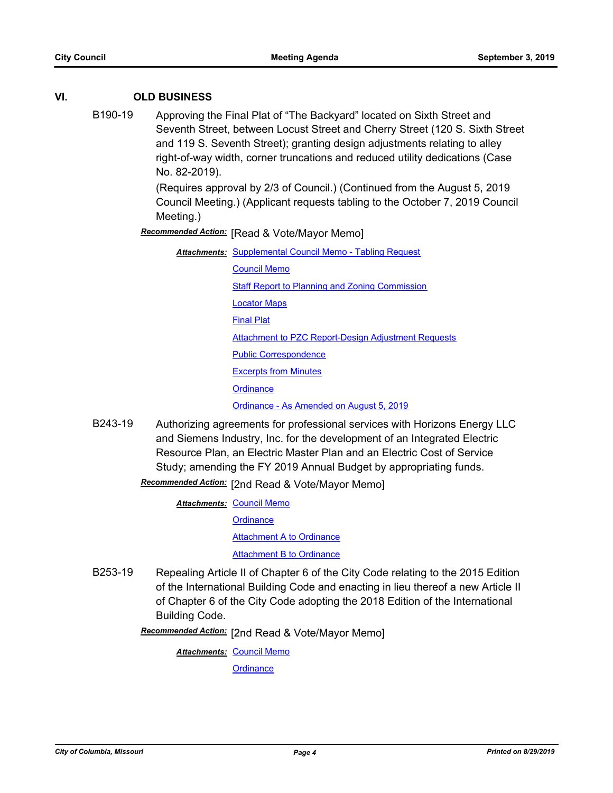# **VI. OLD BUSINESS**

B190-19 Approving the Final Plat of "The Backyard" located on Sixth Street and Seventh Street, between Locust Street and Cherry Street (120 S. Sixth Street and 119 S. Seventh Street); granting design adjustments relating to alley right-of-way width, corner truncations and reduced utility dedications (Case No. 82-2019).

> (Requires approval by 2/3 of Council.) (Continued from the August 5, 2019 Council Meeting.) (Applicant requests tabling to the October 7, 2019 Council Meeting.)

**Recommended Action:** [Read & Vote/Mayor Memo]

**Attachments: [Supplemental Council Memo - Tabling Request](http://gocolumbiamo.legistar.com/gateway.aspx?M=F&ID=31390083-cea3-4908-86fd-f2e034a7364a.pdf)** [Council Memo](http://gocolumbiamo.legistar.com/gateway.aspx?M=F&ID=6f6b22c0-6462-46ee-8cb5-42203378b2f0.docx) [Staff Report to Planning and Zoning Commission](http://gocolumbiamo.legistar.com/gateway.aspx?M=F&ID=0a011d09-0b98-43e4-99e3-f8e16b03644b.pdf) [Locator Maps](http://gocolumbiamo.legistar.com/gateway.aspx?M=F&ID=beb0a0d0-56e5-4fa6-8614-582c58eab710.pdf) [Final Plat](http://gocolumbiamo.legistar.com/gateway.aspx?M=F&ID=34219524-7e3f-4d14-b2d1-1da9f38c2ecc.pdf) **[Attachment to PZC Report-Design Adjustment Requests](http://gocolumbiamo.legistar.com/gateway.aspx?M=F&ID=7c824ce8-42db-4d57-bfea-29563731a4cd.pdf)** [Public Correspondence](http://gocolumbiamo.legistar.com/gateway.aspx?M=F&ID=688ae117-30e2-4577-8aec-d51dea4c28ae.pdf) [Excerpts from Minutes](http://gocolumbiamo.legistar.com/gateway.aspx?M=F&ID=b8741bbd-2750-457b-8ea2-1f78cab1399b.pdf) **[Ordinance](http://gocolumbiamo.legistar.com/gateway.aspx?M=F&ID=579d7a76-4e64-4061-a9bc-b0c487fecf64.doc)** 

[Ordinance - As Amended on August 5, 2019](http://gocolumbiamo.legistar.com/gateway.aspx?M=F&ID=c4800e01-ad37-4214-a5ba-7a8f6b87ab6f.doc)

B243-19 Authorizing agreements for professional services with Horizons Energy LLC and Siemens Industry, Inc. for the development of an Integrated Electric Resource Plan, an Electric Master Plan and an Electric Cost of Service Study; amending the FY 2019 Annual Budget by appropriating funds.

Recommended Action: [2nd Read & Vote/Mayor Memo]

**Attachments: [Council Memo](http://gocolumbiamo.legistar.com/gateway.aspx?M=F&ID=312dbd41-0f00-4e74-a095-e8a1fda23f22.docx)** 

**[Ordinance](http://gocolumbiamo.legistar.com/gateway.aspx?M=F&ID=3597df62-4082-4afe-8efa-9daf2b556da9.doc)** 

[Attachment A to Ordinance](http://gocolumbiamo.legistar.com/gateway.aspx?M=F&ID=7c095abf-6a24-47e9-8112-8202b4523066.pdf)

[Attachment B to Ordinance](http://gocolumbiamo.legistar.com/gateway.aspx?M=F&ID=4d82146b-24d8-43da-a3dc-4594216ae4fb.pdf)

B253-19 Repealing Article II of Chapter 6 of the City Code relating to the 2015 Edition of the International Building Code and enacting in lieu thereof a new Article II of Chapter 6 of the City Code adopting the 2018 Edition of the International Building Code.

Recommended Action: [2nd Read & Vote/Mayor Memo]

**Attachments: [Council Memo](http://gocolumbiamo.legistar.com/gateway.aspx?M=F&ID=2f2c7d38-1c9d-4f13-bad3-dc8c34b97857.docx)**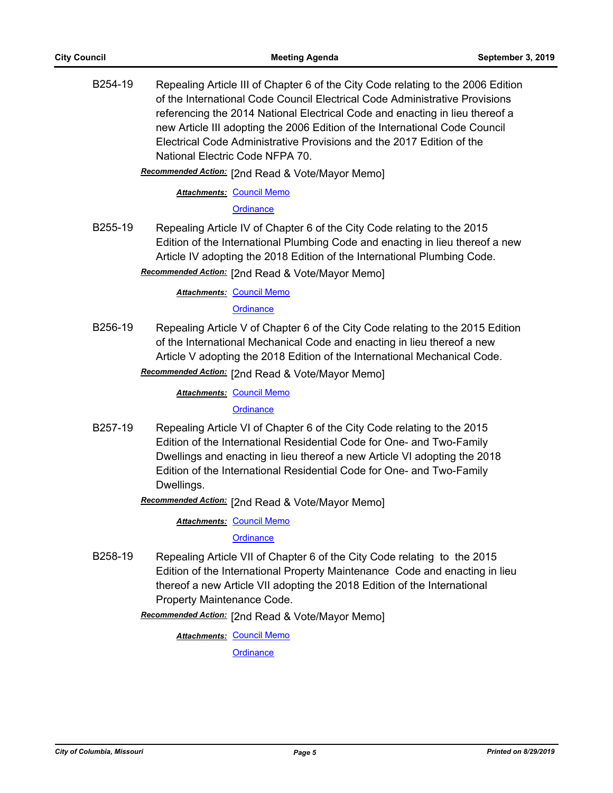B254-19 Repealing Article III of Chapter 6 of the City Code relating to the 2006 Edition of the International Code Council Electrical Code Administrative Provisions referencing the 2014 National Electrical Code and enacting in lieu thereof a new Article III adopting the 2006 Edition of the International Code Council Electrical Code Administrative Provisions and the 2017 Edition of the National Electric Code NFPA 70.

Recommended Action: [2nd Read & Vote/Mayor Memo]

**Attachments: [Council Memo](http://gocolumbiamo.legistar.com/gateway.aspx?M=F&ID=d15c8bf7-f652-459a-a434-baf8ca0d2f53.docx)** 

**[Ordinance](http://gocolumbiamo.legistar.com/gateway.aspx?M=F&ID=04b30b21-97f2-4ed5-83c5-214144506d3e.doc)** 

B255-19 Repealing Article IV of Chapter 6 of the City Code relating to the 2015 Edition of the International Plumbing Code and enacting in lieu thereof a new Article IV adopting the 2018 Edition of the International Plumbing Code. Recommended Action: [2nd Read & Vote/Mayor Memo]

**Attachments: [Council Memo](http://gocolumbiamo.legistar.com/gateway.aspx?M=F&ID=2704d237-a45b-4d4d-83fe-67aa0001f1c9.docx)** 

**[Ordinance](http://gocolumbiamo.legistar.com/gateway.aspx?M=F&ID=1b40a516-fbec-4f87-9ee9-0f242b7edddd.doc)** 

B256-19 Repealing Article V of Chapter 6 of the City Code relating to the 2015 Edition of the International Mechanical Code and enacting in lieu thereof a new Article V adopting the 2018 Edition of the International Mechanical Code.

Recommended Action: [2nd Read & Vote/Mayor Memo]

**Attachments: [Council Memo](http://gocolumbiamo.legistar.com/gateway.aspx?M=F&ID=aafe1665-1264-490f-baee-017495ae3387.docx)** 

**[Ordinance](http://gocolumbiamo.legistar.com/gateway.aspx?M=F&ID=518b6737-ec64-4822-907d-3324e167cb1c.doc)** 

B257-19 Repealing Article VI of Chapter 6 of the City Code relating to the 2015 Edition of the International Residential Code for One- and Two-Family Dwellings and enacting in lieu thereof a new Article VI adopting the 2018 Edition of the International Residential Code for One- and Two-Family Dwellings.

**Recommended Action:** [2nd Read & Vote/Mayor Memo]

**Attachments: [Council Memo](http://gocolumbiamo.legistar.com/gateway.aspx?M=F&ID=984257c1-04a7-4b8a-a604-2aff78421ddb.docx)** 

**[Ordinance](http://gocolumbiamo.legistar.com/gateway.aspx?M=F&ID=3e20a4f4-24ea-4658-a332-bca5545bd285.doc)** 

B258-19 Repealing Article VII of Chapter 6 of the City Code relating to the 2015 Edition of the International Property Maintenance Code and enacting in lieu thereof a new Article VII adopting the 2018 Edition of the International Property Maintenance Code.

Recommended Action: [2nd Read & Vote/Mayor Memo]

**Attachments: [Council Memo](http://gocolumbiamo.legistar.com/gateway.aspx?M=F&ID=7990eb84-e478-40d3-8c0f-aeb1241218e9.docx)**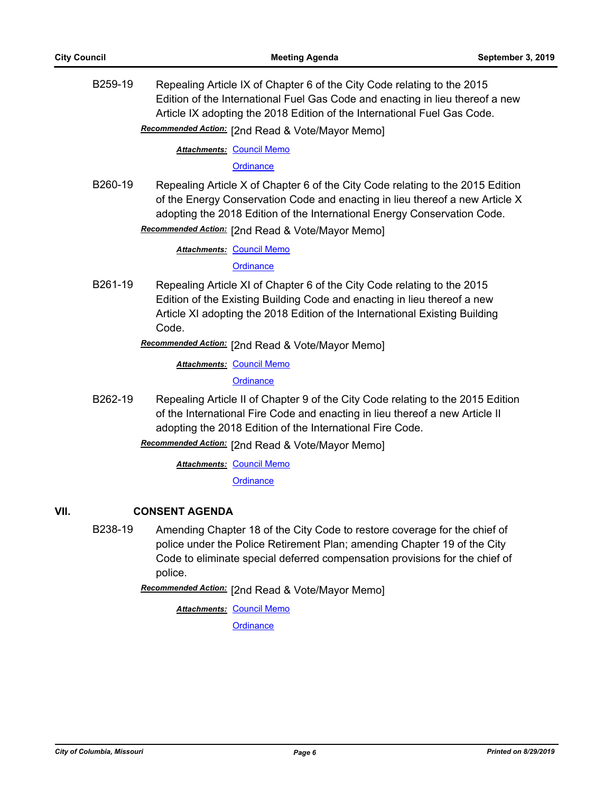B259-19 Repealing Article IX of Chapter 6 of the City Code relating to the 2015 Edition of the International Fuel Gas Code and enacting in lieu thereof a new Article IX adopting the 2018 Edition of the International Fuel Gas Code.

Recommended Action: [2nd Read & Vote/Mayor Memo]

**Attachments: [Council Memo](http://gocolumbiamo.legistar.com/gateway.aspx?M=F&ID=18dcd35a-e777-440b-a257-3a39065408f4.docx)** 

**[Ordinance](http://gocolumbiamo.legistar.com/gateway.aspx?M=F&ID=90f3f30e-abd6-41a8-85b0-15cdde43f831.doc)** 

B260-19 Repealing Article X of Chapter 6 of the City Code relating to the 2015 Edition of the Energy Conservation Code and enacting in lieu thereof a new Article X adopting the 2018 Edition of the International Energy Conservation Code.

Recommended Action: [2nd Read & Vote/Mayor Memo]

**Attachments: [Council Memo](http://gocolumbiamo.legistar.com/gateway.aspx?M=F&ID=c4156e9a-8553-4505-b640-653d48da1420.docx)** 

**[Ordinance](http://gocolumbiamo.legistar.com/gateway.aspx?M=F&ID=9cca5329-4e0f-4ec5-b061-94a6d11e4480.doc)** 

B261-19 Repealing Article XI of Chapter 6 of the City Code relating to the 2015 Edition of the Existing Building Code and enacting in lieu thereof a new Article XI adopting the 2018 Edition of the International Existing Building Code.

Recommended Action: [2nd Read & Vote/Mayor Memo]

**Attachments: [Council Memo](http://gocolumbiamo.legistar.com/gateway.aspx?M=F&ID=6986f6ab-9868-46a0-a137-a452d02c0ec0.docx)** 

**[Ordinance](http://gocolumbiamo.legistar.com/gateway.aspx?M=F&ID=d509b611-b48f-4f72-90f1-30414a15d086.doc)** 

B262-19 Repealing Article II of Chapter 9 of the City Code relating to the 2015 Edition of the International Fire Code and enacting in lieu thereof a new Article II adopting the 2018 Edition of the International Fire Code.

Recommended Action: [2nd Read & Vote/Mayor Memo]

**Attachments: [Council Memo](http://gocolumbiamo.legistar.com/gateway.aspx?M=F&ID=90f199db-1766-4a3d-b71b-a0d9e17a3a04.docx)** 

**[Ordinance](http://gocolumbiamo.legistar.com/gateway.aspx?M=F&ID=27278ca2-5459-4a79-b648-44eb54ff955a.doc)** 

# **VII. CONSENT AGENDA**

B238-19 Amending Chapter 18 of the City Code to restore coverage for the chief of police under the Police Retirement Plan; amending Chapter 19 of the City Code to eliminate special deferred compensation provisions for the chief of police.

Recommended Action: [2nd Read & Vote/Mayor Memo]

**Attachments: [Council Memo](http://gocolumbiamo.legistar.com/gateway.aspx?M=F&ID=2d44e4d3-5e26-47c4-841f-41938ebc5e1b.docx) [Ordinance](http://gocolumbiamo.legistar.com/gateway.aspx?M=F&ID=42a42d2c-5f00-456a-ba76-a1d4e09daff1.doc)**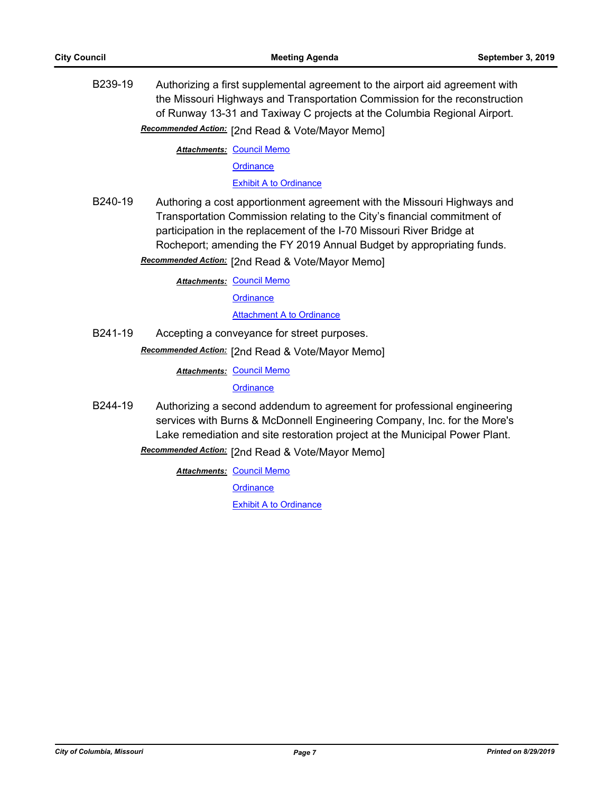B239-19 Authorizing a first supplemental agreement to the airport aid agreement with the Missouri Highways and Transportation Commission for the reconstruction of Runway 13-31 and Taxiway C projects at the Columbia Regional Airport.

Recommended Action: [2nd Read & Vote/Mayor Memo]

**Attachments: [Council Memo](http://gocolumbiamo.legistar.com/gateway.aspx?M=F&ID=463c4144-5bff-4eb6-972b-fbb10bbd26b1.docx)** 

**[Ordinance](http://gocolumbiamo.legistar.com/gateway.aspx?M=F&ID=267ef74e-71f5-4238-812a-43bb951ad39b.doc)** 

[Exhibit A to Ordinance](http://gocolumbiamo.legistar.com/gateway.aspx?M=F&ID=7355cae7-3552-4817-8084-a6615c61e1b8.pdf)

B240-19 Authoring a cost apportionment agreement with the Missouri Highways and Transportation Commission relating to the City's financial commitment of participation in the replacement of the I-70 Missouri River Bridge at Rocheport; amending the FY 2019 Annual Budget by appropriating funds.

**Recommended Action:** [2nd Read & Vote/Mayor Memo]

**Attachments: [Council Memo](http://gocolumbiamo.legistar.com/gateway.aspx?M=F&ID=56eed5c7-5db4-4f52-bc19-c4454e7f9c8b.docx) [Ordinance](http://gocolumbiamo.legistar.com/gateway.aspx?M=F&ID=9bdb5dcb-4fbf-411e-ac77-9842c1e07938.doc) [Attachment A to Ordinance](http://gocolumbiamo.legistar.com/gateway.aspx?M=F&ID=5716f74b-5501-493b-943f-379588f61fbd.pdf)** 

B241-19 Accepting a conveyance for street purposes.

Recommended Action: [2nd Read & Vote/Mayor Memo]

**Attachments: [Council Memo](http://gocolumbiamo.legistar.com/gateway.aspx?M=F&ID=6ef35a9f-7089-47a0-8b65-581df1e1808f.docx)** 

**[Ordinance](http://gocolumbiamo.legistar.com/gateway.aspx?M=F&ID=3b076911-1a08-4d4b-8cc6-45fea30eaf55.doc)** 

B244-19 Authorizing a second addendum to agreement for professional engineering services with Burns & McDonnell Engineering Company, Inc. for the More's Lake remediation and site restoration project at the Municipal Power Plant.

Recommended Action: [2nd Read & Vote/Mayor Memo]

**Attachments: [Council Memo](http://gocolumbiamo.legistar.com/gateway.aspx?M=F&ID=8fa84b16-d0b6-4405-adcb-dc60f4a1f73d.docx)** 

**[Ordinance](http://gocolumbiamo.legistar.com/gateway.aspx?M=F&ID=6aeaa6b4-b3f8-4f69-818e-dc255f859cdf.doc)**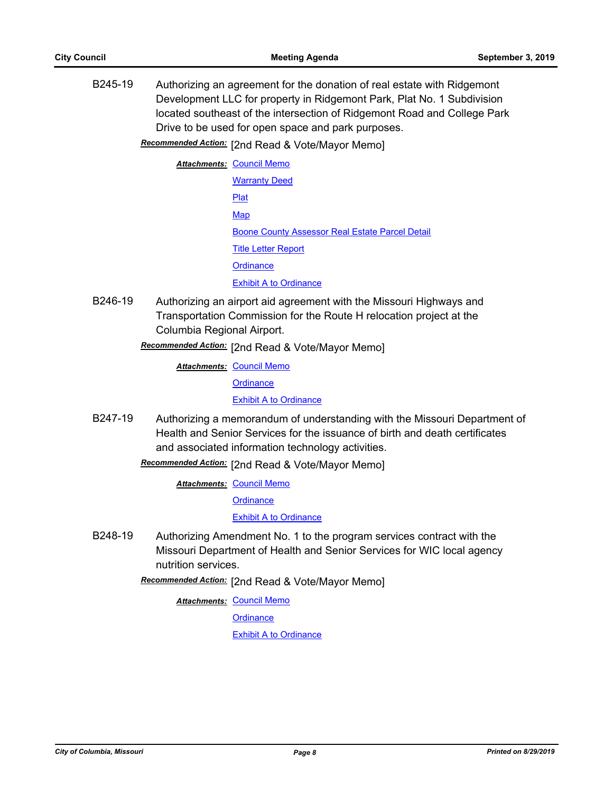B245-19 Authorizing an agreement for the donation of real estate with Ridgemont Development LLC for property in Ridgemont Park, Plat No. 1 Subdivision located southeast of the intersection of Ridgemont Road and College Park Drive to be used for open space and park purposes.

Recommended Action: [2nd Read & Vote/Mayor Memo]

**Attachments: [Council Memo](http://gocolumbiamo.legistar.com/gateway.aspx?M=F&ID=68fb1a05-8342-4b24-83bb-1fe481dbe648.docx)** [Warranty Deed](http://gocolumbiamo.legistar.com/gateway.aspx?M=F&ID=83603c58-cc5f-4011-9d4a-e327a03b2e50.pdf) [Plat](http://gocolumbiamo.legistar.com/gateway.aspx?M=F&ID=f89c1661-349e-4595-a101-64dd39cdf5b3.pdf) **[Map](http://gocolumbiamo.legistar.com/gateway.aspx?M=F&ID=e576d3d0-90c0-4109-959a-33290837e3fc.pdf)** [Boone County Assessor Real Estate Parcel Detail](http://gocolumbiamo.legistar.com/gateway.aspx?M=F&ID=cb1063a9-33fd-4bf5-aa69-dd908ab85330.pdf) [Title Letter Report](http://gocolumbiamo.legistar.com/gateway.aspx?M=F&ID=a61d4f17-3f9e-426d-8410-8865e433a463.pdf) **[Ordinance](http://gocolumbiamo.legistar.com/gateway.aspx?M=F&ID=86c3b287-079a-4f22-a716-d54bedd3ce78.doc)** [Exhibit A to Ordinance](http://gocolumbiamo.legistar.com/gateway.aspx?M=F&ID=9301084a-f4e1-4201-bc22-ec1c28740f22.pdf)

B246-19 Authorizing an airport aid agreement with the Missouri Highways and Transportation Commission for the Route H relocation project at the Columbia Regional Airport.

[2nd Read & Vote/Mayor Memo] *Recommended Action:*

**Attachments: [Council Memo](http://gocolumbiamo.legistar.com/gateway.aspx?M=F&ID=69b7e0ab-e7bc-4e63-afd2-a7e406c04ec1.docx)** 

**[Ordinance](http://gocolumbiamo.legistar.com/gateway.aspx?M=F&ID=0464d75b-1e8a-483a-a33d-dc126614868d.doc)** 

[Exhibit A to Ordinance](http://gocolumbiamo.legistar.com/gateway.aspx?M=F&ID=210b142a-a929-41a8-a374-81062c3a5398.pdf)

B247-19 Authorizing a memorandum of understanding with the Missouri Department of Health and Senior Services for the issuance of birth and death certificates and associated information technology activities.

Recommended Action: [2nd Read & Vote/Mayor Memo]

**Attachments: [Council Memo](http://gocolumbiamo.legistar.com/gateway.aspx?M=F&ID=61d1445d-bd7b-4e2a-9524-1fb3f673e82b.docx)** 

**[Ordinance](http://gocolumbiamo.legistar.com/gateway.aspx?M=F&ID=bdb89cd4-d26a-4945-a84e-5c8ad79ed561.doc)** 

[Exhibit A to Ordinance](http://gocolumbiamo.legistar.com/gateway.aspx?M=F&ID=6d4a83c4-559a-4860-b6eb-838cae864b04.pdf)

B248-19 Authorizing Amendment No. 1 to the program services contract with the Missouri Department of Health and Senior Services for WIC local agency nutrition services.

[2nd Read & Vote/Mayor Memo] *Recommended Action:*

**Attachments: [Council Memo](http://gocolumbiamo.legistar.com/gateway.aspx?M=F&ID=67fa974c-496e-4c17-8424-c061c890d714.docx)** 

**[Ordinance](http://gocolumbiamo.legistar.com/gateway.aspx?M=F&ID=74ed4161-5b18-482b-884a-57ac65845cdb.doc)**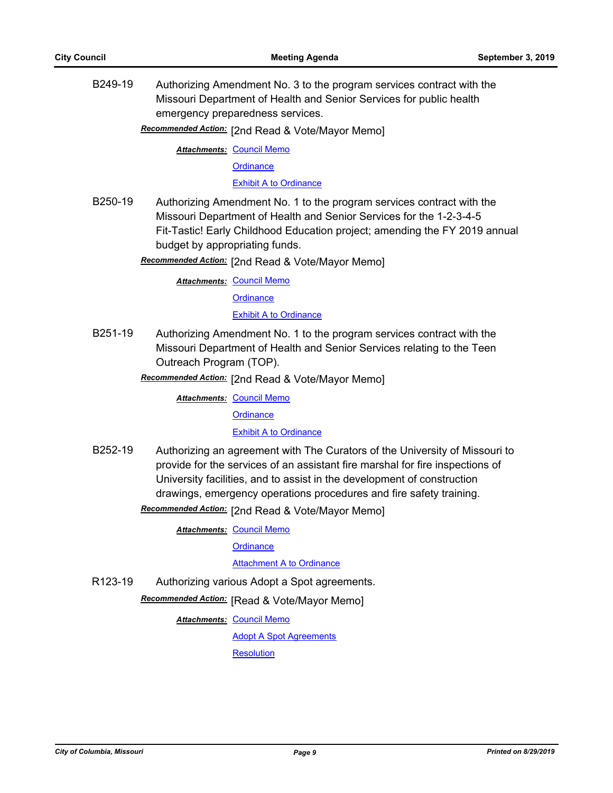B249-19 Authorizing Amendment No. 3 to the program services contract with the Missouri Department of Health and Senior Services for public health emergency preparedness services.

Recommended Action: [2nd Read & Vote/Mayor Memo]

**Attachments: [Council Memo](http://gocolumbiamo.legistar.com/gateway.aspx?M=F&ID=693110bf-6bbe-4c90-8616-49974b493256.docx)** 

**[Ordinance](http://gocolumbiamo.legistar.com/gateway.aspx?M=F&ID=9c572211-74f1-4504-8d07-dd7c7d9b80f4.doc)** 

[Exhibit A to Ordinance](http://gocolumbiamo.legistar.com/gateway.aspx?M=F&ID=6b0d751b-4170-42f9-b00a-06631ddf519f.pdf)

B250-19 Authorizing Amendment No. 1 to the program services contract with the Missouri Department of Health and Senior Services for the 1-2-3-4-5 Fit-Tastic! Early Childhood Education project; amending the FY 2019 annual budget by appropriating funds.

Recommended Action: [2nd Read & Vote/Mayor Memo]

**Attachments: [Council Memo](http://gocolumbiamo.legistar.com/gateway.aspx?M=F&ID=e73dcf20-ca5e-4616-9b5e-bc90489ea496.docx)** 

**[Ordinance](http://gocolumbiamo.legistar.com/gateway.aspx?M=F&ID=8763df44-8ce5-4086-8981-b3c7998e2bb1.doc)** 

[Exhibit A to Ordinance](http://gocolumbiamo.legistar.com/gateway.aspx?M=F&ID=bfad0174-4b6b-41f7-b1eb-040d5b18ffa7.pdf)

B251-19 Authorizing Amendment No. 1 to the program services contract with the Missouri Department of Health and Senior Services relating to the Teen Outreach Program (TOP).

Recommended Action: [2nd Read & Vote/Mayor Memo]

**Attachments: [Council Memo](http://gocolumbiamo.legistar.com/gateway.aspx?M=F&ID=90ac93cc-4081-4bed-8b29-50d7962d034e.docx)** 

**[Ordinance](http://gocolumbiamo.legistar.com/gateway.aspx?M=F&ID=dafddfa7-fb4e-428e-b0ca-c10f1dc32938.doc)** 

# [Exhibit A to Ordinance](http://gocolumbiamo.legistar.com/gateway.aspx?M=F&ID=7c8e3eaa-9473-4643-b9e1-235a72cd28a9.pdf)

- B252-19 Authorizing an agreement with The Curators of the University of Missouri to provide for the services of an assistant fire marshal for fire inspections of University facilities, and to assist in the development of construction drawings, emergency operations procedures and fire safety training.
	- Recommended Action: [2nd Read & Vote/Mayor Memo]

**Attachments: [Council Memo](http://gocolumbiamo.legistar.com/gateway.aspx?M=F&ID=3afbd5d5-1fcb-41ff-a5f9-e9abdadbf50a.docx)** 

**[Ordinance](http://gocolumbiamo.legistar.com/gateway.aspx?M=F&ID=feb71073-7bf9-463f-9849-4b452087ac45.doc)** 

[Attachment A to Ordinance](http://gocolumbiamo.legistar.com/gateway.aspx?M=F&ID=af07d159-f528-4bb5-b08e-cb04db8d1302.pdf)

R123-19 Authorizing various Adopt a Spot agreements.

**Recommended Action:** [Read & Vote/Mayor Memo]

**Attachments: [Council Memo](http://gocolumbiamo.legistar.com/gateway.aspx?M=F&ID=7f6a318a-803e-47e9-8a30-58e8d5ca54d2.docx)** 

[Adopt A Spot Agreements](http://gocolumbiamo.legistar.com/gateway.aspx?M=F&ID=81af458b-dd62-4a60-ad32-65f5775ae38f.pdf)

**[Resolution](http://gocolumbiamo.legistar.com/gateway.aspx?M=F&ID=6b583aa0-4c02-4741-beaa-25b57fe16b8f.doc)**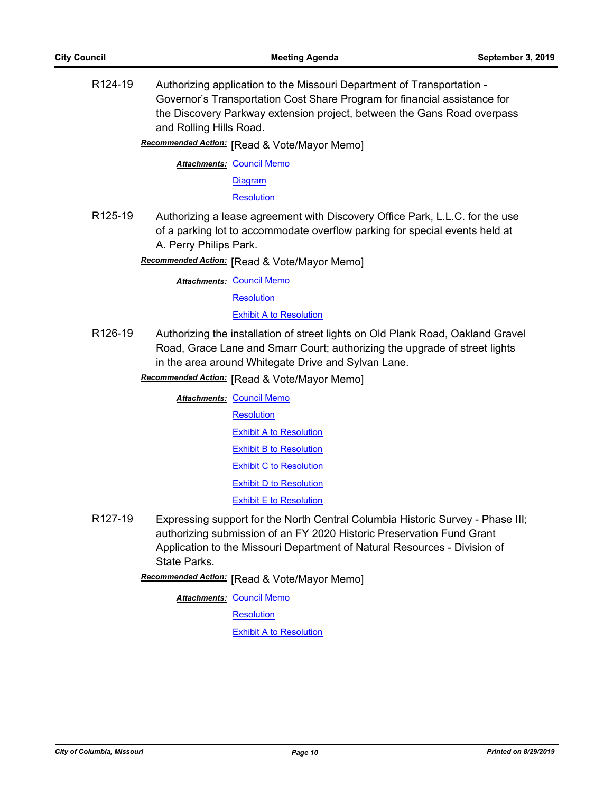R124-19 Authorizing application to the Missouri Department of Transportation - Governor's Transportation Cost Share Program for financial assistance for the Discovery Parkway extension project, between the Gans Road overpass and Rolling Hills Road.

**Recommended Action:** [Read & Vote/Mayor Memo]

**Attachments: [Council Memo](http://gocolumbiamo.legistar.com/gateway.aspx?M=F&ID=d8014f29-d4da-4f1d-a74b-4567e7826680.docx)** 

[Diagram](http://gocolumbiamo.legistar.com/gateway.aspx?M=F&ID=c4ae7103-8d2f-4767-842e-16733f795f19.pdf)

**[Resolution](http://gocolumbiamo.legistar.com/gateway.aspx?M=F&ID=21b489a0-8d8f-4ec2-acfc-4b0280b96896.doc)** 

R125-19 Authorizing a lease agreement with Discovery Office Park, L.L.C. for the use of a parking lot to accommodate overflow parking for special events held at A. Perry Philips Park.

**Recommended Action:** [Read & Vote/Mayor Memo]

**Attachments: [Council Memo](http://gocolumbiamo.legistar.com/gateway.aspx?M=F&ID=13ced487-3116-4de5-b06e-aaf8685197dc.docx) [Resolution](http://gocolumbiamo.legistar.com/gateway.aspx?M=F&ID=556828e7-8bd6-4bfe-a76e-20871afb5475.doc)** [Exhibit A to Resolution](http://gocolumbiamo.legistar.com/gateway.aspx?M=F&ID=f50fd184-e369-48a0-b4fa-59a698b322d5.pdf)

R126-19 Authorizing the installation of street lights on Old Plank Road, Oakland Gravel Road, Grace Lane and Smarr Court; authorizing the upgrade of street lights in the area around Whitegate Drive and Sylvan Lane.

**Recommended Action:** [Read & Vote/Mayor Memo]

**Attachments: [Council Memo](http://gocolumbiamo.legistar.com/gateway.aspx?M=F&ID=c5f81a8f-d14e-4605-920e-e285726ecbbb.docx) [Resolution](http://gocolumbiamo.legistar.com/gateway.aspx?M=F&ID=1a33a9b8-14bd-451f-ac36-a6230ed496c2.doc)** [Exhibit A to Resolution](http://gocolumbiamo.legistar.com/gateway.aspx?M=F&ID=13bcedd0-64ff-44e3-bd58-09da542587e5.pdf) [Exhibit B to Resolution](http://gocolumbiamo.legistar.com/gateway.aspx?M=F&ID=72e94d32-f49f-4b36-b3c7-74646c43dd75.pdf) **[Exhibit C to Resolution](http://gocolumbiamo.legistar.com/gateway.aspx?M=F&ID=d0536dec-aab8-4edd-9b32-4de538199a31.pdf)** [Exhibit D to Resolution](http://gocolumbiamo.legistar.com/gateway.aspx?M=F&ID=b689d8c0-cfe5-40d7-afb2-d305468c1bd1.pdf) **[Exhibit E to Resolution](http://gocolumbiamo.legistar.com/gateway.aspx?M=F&ID=dbe9970d-1dce-4b7b-9ac1-1e2eea90650f.pdf)** 

R127-19 Expressing support for the North Central Columbia Historic Survey - Phase III; authorizing submission of an FY 2020 Historic Preservation Fund Grant Application to the Missouri Department of Natural Resources - Division of State Parks.

**Recommended Action:** [Read & Vote/Mayor Memo]

**Attachments: [Council Memo](http://gocolumbiamo.legistar.com/gateway.aspx?M=F&ID=9cc30829-97c3-497e-9c88-e0a12d9f1010.docx)** 

**[Resolution](http://gocolumbiamo.legistar.com/gateway.aspx?M=F&ID=533fcbcc-415a-4cfa-814c-2392c1eaf545.doc)** 

[Exhibit A to Resolution](http://gocolumbiamo.legistar.com/gateway.aspx?M=F&ID=e472d8ec-5252-4cd4-a399-73696489077a.pdf)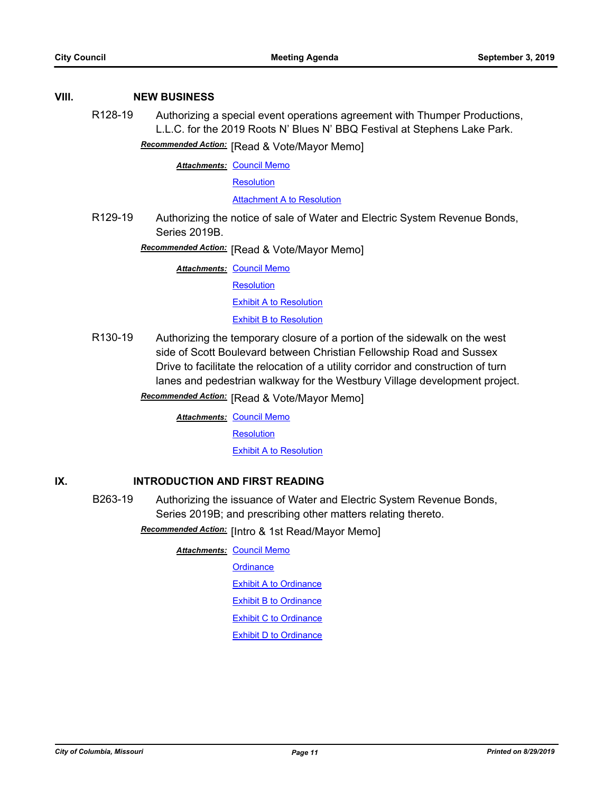# **VIII. NEW BUSINESS**

R128-19 Authorizing a special event operations agreement with Thumper Productions, L.L.C. for the 2019 Roots N' Blues N' BBQ Festival at Stephens Lake Park.

**Recommended Action:** [Read & Vote/Mayor Memo]

**Attachments: [Council Memo](http://gocolumbiamo.legistar.com/gateway.aspx?M=F&ID=86c5a2db-6594-489c-a884-0379f3e8bab2.docx)** 

**[Resolution](http://gocolumbiamo.legistar.com/gateway.aspx?M=F&ID=9665b791-1049-4a1b-bacc-1017816c0125.doc)** 

[Attachment A to Resolution](http://gocolumbiamo.legistar.com/gateway.aspx?M=F&ID=4b064936-b88a-4242-97d4-ed3b845604fa.pdf)

R129-19 Authorizing the notice of sale of Water and Electric System Revenue Bonds, Series 2019B.

**Recommended Action:** [Read & Vote/Mayor Memo]

**Attachments: [Council Memo](http://gocolumbiamo.legistar.com/gateway.aspx?M=F&ID=f1e04661-785a-46f9-85b1-fa8cde6b3b84.docx)** 

**[Resolution](http://gocolumbiamo.legistar.com/gateway.aspx?M=F&ID=72324181-1714-45da-9f03-bc058fd5014d.doc)** 

**[Exhibit A to Resolution](http://gocolumbiamo.legistar.com/gateway.aspx?M=F&ID=91c542f6-8c7a-4d32-b524-79321dde2e9e.pdf)** 

**[Exhibit B to Resolution](http://gocolumbiamo.legistar.com/gateway.aspx?M=F&ID=22531cfb-094d-46b2-9b7a-8302f345e580.pdf)** 

R130-19 Authorizing the temporary closure of a portion of the sidewalk on the west side of Scott Boulevard between Christian Fellowship Road and Sussex Drive to facilitate the relocation of a utility corridor and construction of turn lanes and pedestrian walkway for the Westbury Village development project.

**Recommended Action:** [Read & Vote/Mayor Memo]

**Attachments: [Council Memo](http://gocolumbiamo.legistar.com/gateway.aspx?M=F&ID=521f1506-79f7-4d3d-8448-d0909ceadbe5.docx)** 

**[Resolution](http://gocolumbiamo.legistar.com/gateway.aspx?M=F&ID=0750339c-7bcc-4c68-8417-dd28d1775938.doc)** 

[Exhibit A to Resolution](http://gocolumbiamo.legistar.com/gateway.aspx?M=F&ID=160bb51f-b917-423f-a50b-f803761d1092.pdf)

# **IX. INTRODUCTION AND FIRST READING**

B263-19 Authorizing the issuance of Water and Electric System Revenue Bonds, Series 2019B; and prescribing other matters relating thereto.

**Recommended Action:** [Intro & 1st Read/Mayor Memo]

**Attachments: [Council Memo](http://gocolumbiamo.legistar.com/gateway.aspx?M=F&ID=130e6392-003a-4f22-afee-6bc59baa04ad.docx)** 

**[Ordinance](http://gocolumbiamo.legistar.com/gateway.aspx?M=F&ID=bcc83998-e309-4252-b86d-be7bd78f3670.doc)** 

[Exhibit A to Ordinance](http://gocolumbiamo.legistar.com/gateway.aspx?M=F&ID=08e1240a-69a6-41d9-94e6-397b26e4e3e6.pdf)

[Exhibit B to Ordinance](http://gocolumbiamo.legistar.com/gateway.aspx?M=F&ID=e4418145-f20c-4537-ac12-c295a86fbb03.pdf)

[Exhibit C to Ordinance](http://gocolumbiamo.legistar.com/gateway.aspx?M=F&ID=691c0e21-4a44-4346-8346-6d25cac6bf04.pdf)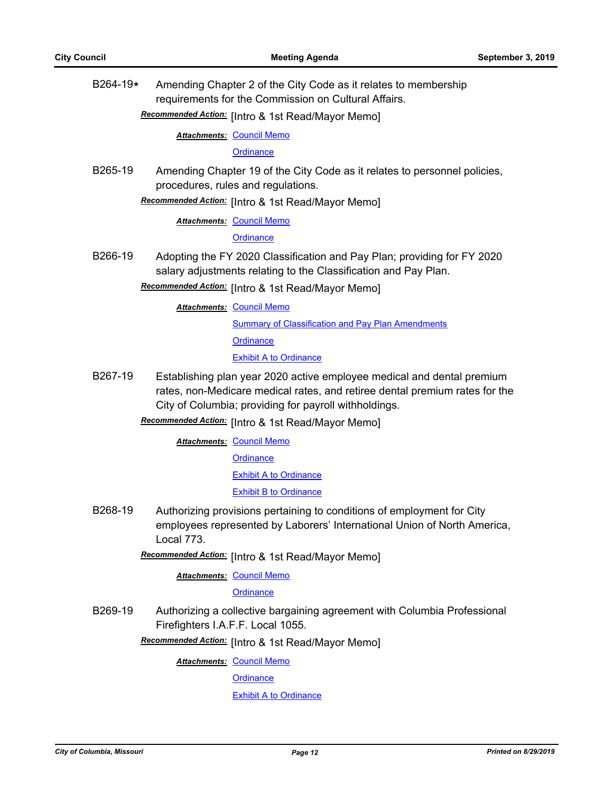B264-19**\*** Amending Chapter 2 of the City Code as it relates to membership requirements for the Commission on Cultural Affairs.

# Recommended Action: [Intro & 1st Read/Mayor Memo]

**Attachments: [Council Memo](http://gocolumbiamo.legistar.com/gateway.aspx?M=F&ID=9ec8da85-bcee-481b-8ba1-4eefedf98e20.docx)** 

**[Ordinance](http://gocolumbiamo.legistar.com/gateway.aspx?M=F&ID=18e7a5ff-a2f1-4f52-a6ed-f0437eee0ef0.doc)** 

B265-19 Amending Chapter 19 of the City Code as it relates to personnel policies, procedures, rules and regulations.

Recommended Action: [Intro & 1st Read/Mayor Memo]

**Attachments: [Council Memo](http://gocolumbiamo.legistar.com/gateway.aspx?M=F&ID=0dc6c090-fbf1-4589-894c-1a9ae871c028.docx)** 

**[Ordinance](http://gocolumbiamo.legistar.com/gateway.aspx?M=F&ID=a6548fa4-4bfe-4141-a164-1c2149938619.doc)** 

B266-19 Adopting the FY 2020 Classification and Pay Plan; providing for FY 2020 salary adjustments relating to the Classification and Pay Plan.

**Recommended Action:** [Intro & 1st Read/Mayor Memo]

**Attachments: [Council Memo](http://gocolumbiamo.legistar.com/gateway.aspx?M=F&ID=02092b3d-4388-42c6-9838-dfe9e0857d0c.docx)** 

**[Summary of Classification and Pay Plan Amendments](http://gocolumbiamo.legistar.com/gateway.aspx?M=F&ID=27982358-2f49-44b9-9437-42260ffecb69.pdf)** 

**[Ordinance](http://gocolumbiamo.legistar.com/gateway.aspx?M=F&ID=945331ae-226e-4eb3-966c-5211f96bd952.doc)** 

#### **[Exhibit A to Ordinance](http://gocolumbiamo.legistar.com/gateway.aspx?M=F&ID=5c870b6e-3074-406c-83a5-59ac710391a2.pdf)**

B267-19 Establishing plan year 2020 active employee medical and dental premium rates, non-Medicare medical rates, and retiree dental premium rates for the City of Columbia; providing for payroll withholdings.

**Recommended Action:** [Intro & 1st Read/Mayor Memo]

**Attachments: [Council Memo](http://gocolumbiamo.legistar.com/gateway.aspx?M=F&ID=33408cf1-491a-448e-b8d5-dd4937d87920.docx)** 

**[Ordinance](http://gocolumbiamo.legistar.com/gateway.aspx?M=F&ID=0ca29001-e82c-40ba-b1bc-4d7cc7ad451a.doc)** 

[Exhibit A to Ordinance](http://gocolumbiamo.legistar.com/gateway.aspx?M=F&ID=8a98fe20-fea4-4fc4-8e43-dfb92bf5d04f.pdf)

[Exhibit B to Ordinance](http://gocolumbiamo.legistar.com/gateway.aspx?M=F&ID=8b0202fa-2ae7-4fba-a543-c4f60549a0ee.pdf)

B268-19 Authorizing provisions pertaining to conditions of employment for City employees represented by Laborers' International Union of North America, Local 773.

**Recommended Action:** [Intro & 1st Read/Mayor Memo]

**Attachments: [Council Memo](http://gocolumbiamo.legistar.com/gateway.aspx?M=F&ID=ed55a236-fb41-45d8-ab4c-6db0c4fbb833.docx)** 

**[Ordinance](http://gocolumbiamo.legistar.com/gateway.aspx?M=F&ID=e1c17f91-9699-41eb-86d0-96d162d4e479.doc)** 

B269-19 Authorizing a collective bargaining agreement with Columbia Professional Firefighters I.A.F.F. Local 1055.

Recommended Action: [Intro & 1st Read/Mayor Memo]

**Attachments: [Council Memo](http://gocolumbiamo.legistar.com/gateway.aspx?M=F&ID=78cfcfcc-d9df-4567-8020-7582ecb850ca.docx)** 

**[Ordinance](http://gocolumbiamo.legistar.com/gateway.aspx?M=F&ID=9d3cb3be-61a1-4e8b-945b-f0622b6f78a4.doc)**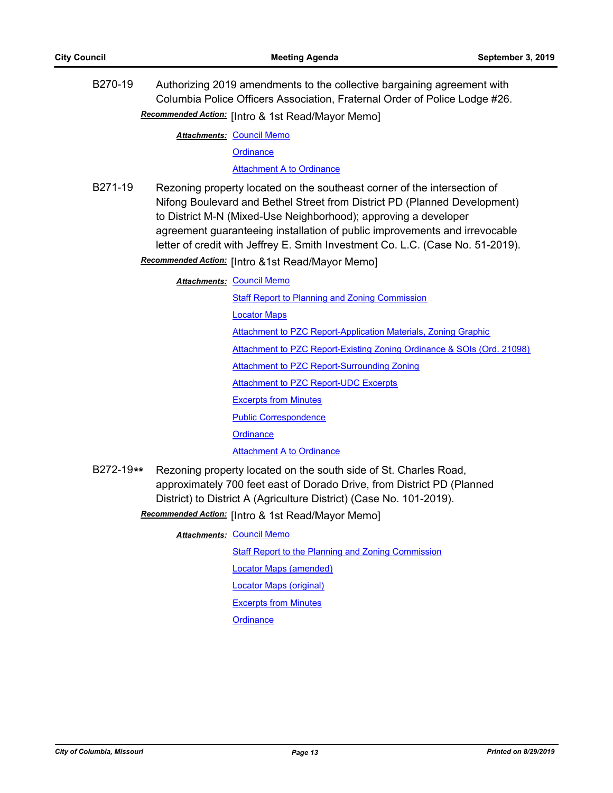B270-19 Authorizing 2019 amendments to the collective bargaining agreement with Columbia Police Officers Association, Fraternal Order of Police Lodge #26. Recommended Action: [Intro & 1st Read/Mayor Memo]

**Attachments: [Council Memo](http://gocolumbiamo.legistar.com/gateway.aspx?M=F&ID=979729e4-a32a-4bfd-acd4-fbd2d03ff9d8.docx)** 

**[Ordinance](http://gocolumbiamo.legistar.com/gateway.aspx?M=F&ID=1b5a9cd8-da73-46ea-8c0c-807b553a7c9d.doc)** 

[Attachment A to Ordinance](http://gocolumbiamo.legistar.com/gateway.aspx?M=F&ID=e015c6cb-366a-49b7-bd09-67fba1d28c35.pdf)

B271-19 Rezoning property located on the southeast corner of the intersection of Nifong Boulevard and Bethel Street from District PD (Planned Development) to District M-N (Mixed-Use Neighborhood); approving a developer agreement guaranteeing installation of public improvements and irrevocable letter of credit with Jeffrey E. Smith Investment Co. L.C. (Case No. 51-2019).

Recommended Action: [Intro &1st Read/Mayor Memo]

**Attachments: [Council Memo](http://gocolumbiamo.legistar.com/gateway.aspx?M=F&ID=451e5001-b246-4a8f-95dc-8832c69e0ff6.docx)** 

**[Staff Report to Planning and Zoning Commission](http://gocolumbiamo.legistar.com/gateway.aspx?M=F&ID=3941b961-f5a5-4c9c-99b9-8da6b33508ce.docx)** [Locator Maps](http://gocolumbiamo.legistar.com/gateway.aspx?M=F&ID=24efed84-20ed-4248-b0dc-0e73c2450f9b.pdf) [Attachment to PZC Report-Application Materials, Zoning Graphic](http://gocolumbiamo.legistar.com/gateway.aspx?M=F&ID=2c9ad29d-1cb0-4677-a1bd-99597369e2a0.pdf) [Attachment to PZC Report-Existing Zoning Ordinance & SOIs \(Ord. 21098\)](http://gocolumbiamo.legistar.com/gateway.aspx?M=F&ID=96206f8f-897e-422a-b35f-628c8aa90f44.pdf) [Attachment to PZC Report-Surrounding Zoning](http://gocolumbiamo.legistar.com/gateway.aspx?M=F&ID=483d4724-a9ed-44ce-bc32-c5dd558c3565.pdf) [Attachment to PZC Report-UDC Excerpts](http://gocolumbiamo.legistar.com/gateway.aspx?M=F&ID=0cb58a1d-ef17-4059-a4f5-377f382879b5.pdf) [Excerpts from Minutes](http://gocolumbiamo.legistar.com/gateway.aspx?M=F&ID=f7e43b3a-9518-4cd4-80c9-3da38e743f21.docx) [Public Correspondence](http://gocolumbiamo.legistar.com/gateway.aspx?M=F&ID=505fc8c0-f2e7-4312-ad41-5544a305ba0f.pdf) **[Ordinance](http://gocolumbiamo.legistar.com/gateway.aspx?M=F&ID=d2ae8f63-ae25-49a3-84e4-5276f889d58c.doc) [Attachment A to Ordinance](http://gocolumbiamo.legistar.com/gateway.aspx?M=F&ID=eea468c4-71d3-4901-b33a-cbdd74f9708a.pdf)** 

B272-19**\*\*** Rezoning property located on the south side of St. Charles Road, approximately 700 feet east of Dorado Drive, from District PD (Planned District) to District A (Agriculture District) (Case No. 101-2019).

Recommended Action: [Intro & 1st Read/Mayor Memo]

**Attachments: [Council Memo](http://gocolumbiamo.legistar.com/gateway.aspx?M=F&ID=71cbe3d2-b808-4461-8b42-0f9f24ea136d.docx)** 

[Staff Report to the Planning and Zoning Commission](http://gocolumbiamo.legistar.com/gateway.aspx?M=F&ID=c67b7a1e-7960-4753-a828-d5ea8d74cc3a.docx)

[Locator Maps \(amended\)](http://gocolumbiamo.legistar.com/gateway.aspx?M=F&ID=2d64e45b-fa49-4d7c-bbb9-e1258c391553.pdf)

[Locator Maps \(original\)](http://gocolumbiamo.legistar.com/gateway.aspx?M=F&ID=e2866e70-998d-457f-a174-0398f53ec414.pdf)

[Excerpts from Minutes](http://gocolumbiamo.legistar.com/gateway.aspx?M=F&ID=3157db43-f038-4f56-941d-07c1b5b78b3c.docx)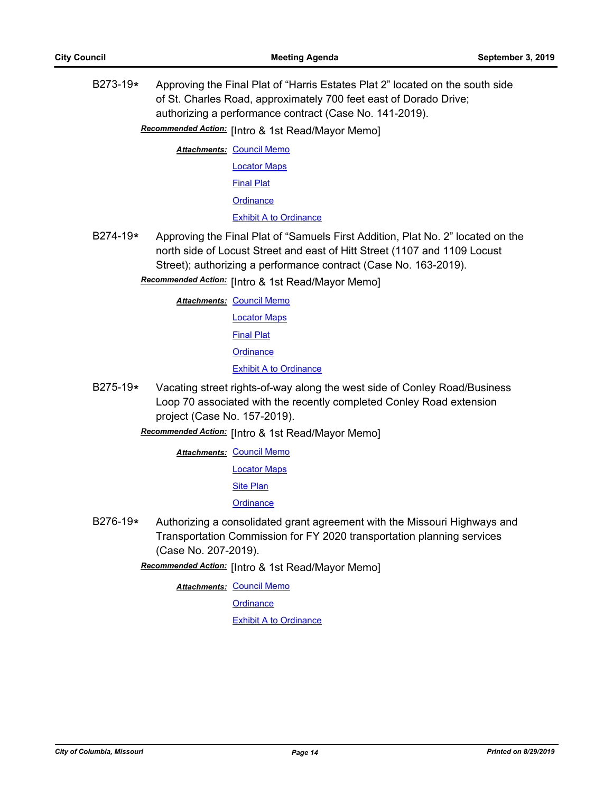B273-19**\*** Approving the Final Plat of "Harris Estates Plat 2" located on the south side of St. Charles Road, approximately 700 feet east of Dorado Drive; authorizing a performance contract (Case No. 141-2019).

**Recommended Action:** [Intro & 1st Read/Mayor Memo]

**Attachments: [Council Memo](http://gocolumbiamo.legistar.com/gateway.aspx?M=F&ID=af71ef5a-714a-49ec-a5c9-2d46704fe23c.docx)** 

[Locator Maps](http://gocolumbiamo.legistar.com/gateway.aspx?M=F&ID=8f9f449e-b811-4ed6-963b-4a83574e1ab1.pdf) [Final Plat](http://gocolumbiamo.legistar.com/gateway.aspx?M=F&ID=86348479-7c7e-4d1e-8524-65bfec1e41b5.pdf) **[Ordinance](http://gocolumbiamo.legistar.com/gateway.aspx?M=F&ID=30a89e7b-bef6-41bc-8401-4893963e361d.doc)** [Exhibit A to Ordinance](http://gocolumbiamo.legistar.com/gateway.aspx?M=F&ID=f6d25ec2-2d97-4f71-85a6-98b397f3cc3c.pdf)

B274-19**\*** Approving the Final Plat of "Samuels First Addition, Plat No. 2" located on the north side of Locust Street and east of Hitt Street (1107 and 1109 Locust Street); authorizing a performance contract (Case No. 163-2019).

Recommended Action: [Intro & 1st Read/Mayor Memo]

**Attachments: [Council Memo](http://gocolumbiamo.legistar.com/gateway.aspx?M=F&ID=1bef8df9-2559-4061-a33d-08cee56cb561.docx)** 

[Locator Maps](http://gocolumbiamo.legistar.com/gateway.aspx?M=F&ID=e1d341fe-a06e-4f7b-b11e-0e29a1f9b9ea.pdf)

[Final Plat](http://gocolumbiamo.legistar.com/gateway.aspx?M=F&ID=66c441b4-8f84-4934-b86d-fc7c15f0b088.pdf)

**[Ordinance](http://gocolumbiamo.legistar.com/gateway.aspx?M=F&ID=87fe358e-2ab9-4613-9851-e13d4cb5b866.doc)** 

**[Exhibit A to Ordinance](http://gocolumbiamo.legistar.com/gateway.aspx?M=F&ID=9ff4afca-ded7-4581-be7d-7e45135f2812.pdf)** 

- B275-19**\*** Vacating street rights-of-way along the west side of Conley Road/Business Loop 70 associated with the recently completed Conley Road extension project (Case No. 157-2019).
	- **Recommended Action:** [Intro & 1st Read/Mayor Memo]

**Attachments: [Council Memo](http://gocolumbiamo.legistar.com/gateway.aspx?M=F&ID=43face3c-3de7-40c0-8763-588e52583c0c.docx)** 

[Locator Maps](http://gocolumbiamo.legistar.com/gateway.aspx?M=F&ID=a0135fb3-1d88-4d52-9e20-a409ae2498d9.pdf)

[Site Plan](http://gocolumbiamo.legistar.com/gateway.aspx?M=F&ID=2881e06d-8d8a-40e8-8eae-436d3f8342f4.pdf)

**[Ordinance](http://gocolumbiamo.legistar.com/gateway.aspx?M=F&ID=39c63ed8-edb3-437d-9fe4-66965e9a071f.doc)** 

B276-19**\*** Authorizing a consolidated grant agreement with the Missouri Highways and Transportation Commission for FY 2020 transportation planning services (Case No. 207-2019).

Recommended Action: [Intro & 1st Read/Mayor Memo]

**Attachments: [Council Memo](http://gocolumbiamo.legistar.com/gateway.aspx?M=F&ID=9674928d-5a8a-4e8d-b4b0-8d98be5ecc01.docx)** 

**[Ordinance](http://gocolumbiamo.legistar.com/gateway.aspx?M=F&ID=14ce5d04-1bdf-4b30-8ab8-1a23fcd505ae.doc)**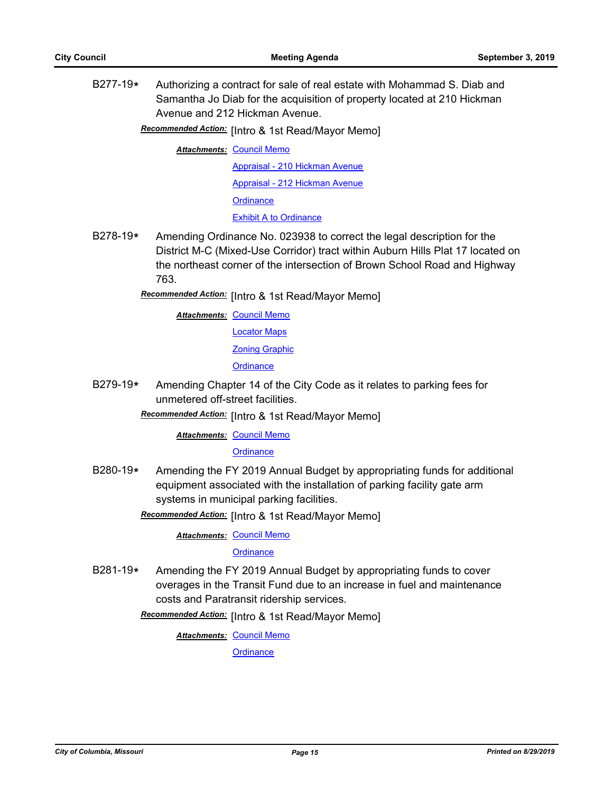B277-19**\*** Authorizing a contract for sale of real estate with Mohammad S. Diab and Samantha Jo Diab for the acquisition of property located at 210 Hickman Avenue and 212 Hickman Avenue.

Recommended Action: [Intro & 1st Read/Mayor Memo]

**Attachments: [Council Memo](http://gocolumbiamo.legistar.com/gateway.aspx?M=F&ID=b50b68c8-07d1-41af-b922-4189ee6563e5.docx)** 

[Appraisal - 210 Hickman Avenue](http://gocolumbiamo.legistar.com/gateway.aspx?M=F&ID=66e5d82a-eef2-45d3-95d4-36b6a2a9b5cf.pdf) [Appraisal - 212 Hickman Avenue](http://gocolumbiamo.legistar.com/gateway.aspx?M=F&ID=c4b7e5ff-6e41-4283-9db3-c459e3631ce8.pdf) **[Ordinance](http://gocolumbiamo.legistar.com/gateway.aspx?M=F&ID=717b9b32-02e5-4813-bdb1-78d6e1897652.doc)** [Exhibit A to Ordinance](http://gocolumbiamo.legistar.com/gateway.aspx?M=F&ID=89dd4950-e2aa-4e53-8846-edb570814ed9.pdf)

- B278-19**\*** Amending Ordinance No. 023938 to correct the legal description for the District M-C (Mixed-Use Corridor) tract within Auburn Hills Plat 17 located on the northeast corner of the intersection of Brown School Road and Highway 763.
	- Recommended Action: [Intro & 1st Read/Mayor Memo]

**Attachments: [Council Memo](http://gocolumbiamo.legistar.com/gateway.aspx?M=F&ID=617c976d-4c22-43b2-a1b4-a46281eb750d.docx)** [Locator Maps](http://gocolumbiamo.legistar.com/gateway.aspx?M=F&ID=df5c20cc-2682-493a-b94a-0bc7f5879558.pdf) [Zoning Graphic](http://gocolumbiamo.legistar.com/gateway.aspx?M=F&ID=415e95fe-c546-413c-b4f3-bfcb830982bf.pdf) **[Ordinance](http://gocolumbiamo.legistar.com/gateway.aspx?M=F&ID=b189b2da-f327-4d2f-b81e-170ec715e006.doc)** 

B279-19**\*** Amending Chapter 14 of the City Code as it relates to parking fees for unmetered off-street facilities.

Recommended Action: [Intro & 1st Read/Mayor Memo]

**Attachments: [Council Memo](http://gocolumbiamo.legistar.com/gateway.aspx?M=F&ID=7d7107b6-3f63-4e1b-b336-b5f892415a59.docx)** 

#### **[Ordinance](http://gocolumbiamo.legistar.com/gateway.aspx?M=F&ID=85dd32ad-98db-4172-ad48-fcc1e8331c00.doc)**

- B280-19**\*** Amending the FY 2019 Annual Budget by appropriating funds for additional equipment associated with the installation of parking facility gate arm systems in municipal parking facilities.
	- Recommended Action: [Intro & 1st Read/Mayor Memo]

**Attachments: [Council Memo](http://gocolumbiamo.legistar.com/gateway.aspx?M=F&ID=538090f7-673d-4030-a87b-4cffb6009314.docx)** 

#### **[Ordinance](http://gocolumbiamo.legistar.com/gateway.aspx?M=F&ID=35b3e57e-7f37-4449-a244-78cf96202da2.doc)**

B281-19**\*** Amending the FY 2019 Annual Budget by appropriating funds to cover overages in the Transit Fund due to an increase in fuel and maintenance costs and Paratransit ridership services.

Recommended Action: [Intro & 1st Read/Mayor Memo]

**Attachments: [Council Memo](http://gocolumbiamo.legistar.com/gateway.aspx?M=F&ID=13223662-82d7-4b87-95c6-cee309e56155.docx)**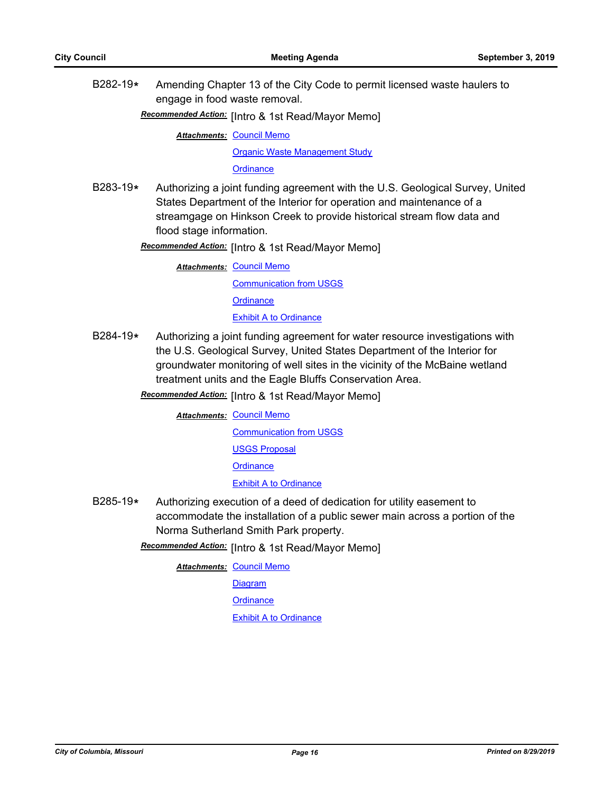B282-19**\*** Amending Chapter 13 of the City Code to permit licensed waste haulers to engage in food waste removal.

[Intro & 1st Read/Mayor Memo] *Recommended Action:*

**Attachments: [Council Memo](http://gocolumbiamo.legistar.com/gateway.aspx?M=F&ID=dfbae9ef-2a99-456a-9c19-a490716d4e40.docx)** 

[Organic Waste Management Study](http://gocolumbiamo.legistar.com/gateway.aspx?M=F&ID=1933dc65-5d3a-4b72-b3a9-55516966d617.pdf)

**[Ordinance](http://gocolumbiamo.legistar.com/gateway.aspx?M=F&ID=95adef51-456b-4800-a8f7-aa971e980f2f.doc)** 

B283-19**\*** Authorizing a joint funding agreement with the U.S. Geological Survey, United States Department of the Interior for operation and maintenance of a streamgage on Hinkson Creek to provide historical stream flow data and flood stage information.

**Recommended Action:** [Intro & 1st Read/Mayor Memo]

**Attachments: [Council Memo](http://gocolumbiamo.legistar.com/gateway.aspx?M=F&ID=15b870e9-6452-444f-a28e-8f935bf27057.docx)** 

[Communication from USGS](http://gocolumbiamo.legistar.com/gateway.aspx?M=F&ID=28e2ee4e-0f2b-49f2-ad11-e76e6039ff78.pdf) **[Ordinance](http://gocolumbiamo.legistar.com/gateway.aspx?M=F&ID=22e73fcf-272c-4579-94bd-cc3ddd714fe3.doc)** [Exhibit A to Ordinance](http://gocolumbiamo.legistar.com/gateway.aspx?M=F&ID=a8155f36-1b28-49bf-8cfb-d78db3f67400.pdf)

B284-19**\*** Authorizing a joint funding agreement for water resource investigations with the U.S. Geological Survey, United States Department of the Interior for groundwater monitoring of well sites in the vicinity of the McBaine wetland treatment units and the Eagle Bluffs Conservation Area.

Recommended Action: [Intro & 1st Read/Mayor Memo]

**Attachments: [Council Memo](http://gocolumbiamo.legistar.com/gateway.aspx?M=F&ID=b80096fa-cb86-4d3b-ba80-6a8f4184540a.docx)** [Communication from USGS](http://gocolumbiamo.legistar.com/gateway.aspx?M=F&ID=25942b9a-ec52-455f-9735-4f8cf2db69f4.pdf)

[USGS Proposal](http://gocolumbiamo.legistar.com/gateway.aspx?M=F&ID=6989678f-2b91-4ed9-b522-8840b8872df1.pdf)

**[Ordinance](http://gocolumbiamo.legistar.com/gateway.aspx?M=F&ID=8bc8ade4-2e3a-4aad-a4be-a0335993c602.doc)** 

[Exhibit A to Ordinance](http://gocolumbiamo.legistar.com/gateway.aspx?M=F&ID=eeae9f1a-c412-4cf7-8ab4-ace79d24bac4.pdf)

B285-19**\*** Authorizing execution of a deed of dedication for utility easement to accommodate the installation of a public sewer main across a portion of the Norma Sutherland Smith Park property.

**Recommended Action:** [Intro & 1st Read/Mayor Memo]

**Attachments: [Council Memo](http://gocolumbiamo.legistar.com/gateway.aspx?M=F&ID=2af1688a-727f-49f4-a9e4-1f67740508d0.docx)** 

[Diagram](http://gocolumbiamo.legistar.com/gateway.aspx?M=F&ID=aa0cbfe3-2756-48bc-aed3-0b5b641a4085.pdf)

**[Ordinance](http://gocolumbiamo.legistar.com/gateway.aspx?M=F&ID=de1e25f1-f498-426e-ad46-a1a10f6d39be.doc)**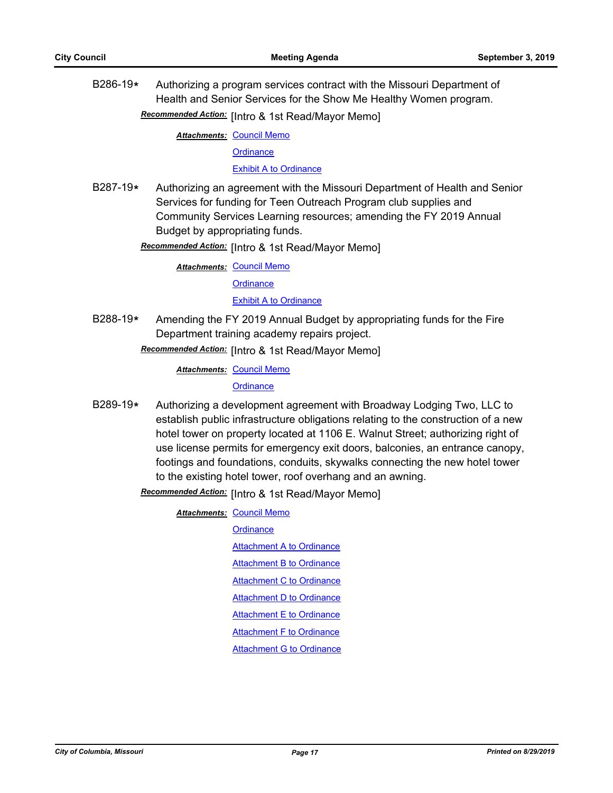B286-19**\*** Authorizing a program services contract with the Missouri Department of Health and Senior Services for the Show Me Healthy Women program.

Recommended Action: [Intro & 1st Read/Mayor Memo]

**Attachments: [Council Memo](http://gocolumbiamo.legistar.com/gateway.aspx?M=F&ID=7ba5b65e-b8d7-4a1b-be94-1e68cfc672b8.docx)** 

**[Ordinance](http://gocolumbiamo.legistar.com/gateway.aspx?M=F&ID=c7988b80-6450-4fa0-80bc-c14ea21b5c18.doc)** 

[Exhibit A to Ordinance](http://gocolumbiamo.legistar.com/gateway.aspx?M=F&ID=02950e1a-8e26-4ee7-989d-515035fa16d5.pdf)

B287-19**\*** Authorizing an agreement with the Missouri Department of Health and Senior Services for funding for Teen Outreach Program club supplies and Community Services Learning resources; amending the FY 2019 Annual Budget by appropriating funds.

**Recommended Action:** [Intro & 1st Read/Mayor Memo]

**Attachments: [Council Memo](http://gocolumbiamo.legistar.com/gateway.aspx?M=F&ID=2dc37591-ca66-47bf-996b-c3361a5f1841.docx)** 

**[Ordinance](http://gocolumbiamo.legistar.com/gateway.aspx?M=F&ID=a8fc7736-8092-4ade-8900-482a7d038e4d.doc)** 

[Exhibit A to Ordinance](http://gocolumbiamo.legistar.com/gateway.aspx?M=F&ID=a3873a23-88bf-4697-8a8b-e4050f9987bb.pdf)

B288-19**\*** Amending the FY 2019 Annual Budget by appropriating funds for the Fire Department training academy repairs project.

Recommended Action: [Intro & 1st Read/Mayor Memo]

**Attachments: [Council Memo](http://gocolumbiamo.legistar.com/gateway.aspx?M=F&ID=547ceda4-abf3-460e-9df7-1d359cee68e1.docx)** 

**[Ordinance](http://gocolumbiamo.legistar.com/gateway.aspx?M=F&ID=8eb7c082-0f41-4ae0-9ea8-aa3c0b173893.doc)** 

B289-19**\*** Authorizing a development agreement with Broadway Lodging Two, LLC to establish public infrastructure obligations relating to the construction of a new hotel tower on property located at 1106 E. Walnut Street; authorizing right of use license permits for emergency exit doors, balconies, an entrance canopy, footings and foundations, conduits, skywalks connecting the new hotel tower to the existing hotel tower, roof overhang and an awning.

**Attachments: [Council Memo](http://gocolumbiamo.legistar.com/gateway.aspx?M=F&ID=ea698985-6ba5-4c73-976c-307b85e5d960.docx) [Ordinance](http://gocolumbiamo.legistar.com/gateway.aspx?M=F&ID=8965a861-4c5a-4b23-81cd-30a3d7d92a2d.doc)** [Attachment A to Ordinance](http://gocolumbiamo.legistar.com/gateway.aspx?M=F&ID=17f608eb-175a-452d-a248-7d319e3f4106.pdf) [Attachment B to Ordinance](http://gocolumbiamo.legistar.com/gateway.aspx?M=F&ID=b6c52a19-2b06-4c9a-b13d-d22a0109aab9.pdf) [Attachment C to Ordinance](http://gocolumbiamo.legistar.com/gateway.aspx?M=F&ID=9eb01e8e-bc38-4550-8a52-d851124c5362.pdf) [Attachment D to Ordinance](http://gocolumbiamo.legistar.com/gateway.aspx?M=F&ID=2e2d3417-b35d-49b4-885c-b6a0f69ec8f4.pdf) [Attachment E to Ordinance](http://gocolumbiamo.legistar.com/gateway.aspx?M=F&ID=446ff6fa-4752-4b92-b558-f55e7843c587.pdf) **[Attachment F to Ordinance](http://gocolumbiamo.legistar.com/gateway.aspx?M=F&ID=c75f8d1e-ea6e-41bd-b7c0-cf63972ef908.pdf)** [Attachment G to Ordinance](http://gocolumbiamo.legistar.com/gateway.aspx?M=F&ID=347e8534-6932-40c2-acea-2a344b3fd1dc.pdf)

**Recommended Action:** [Intro & 1st Read/Mayor Memo]